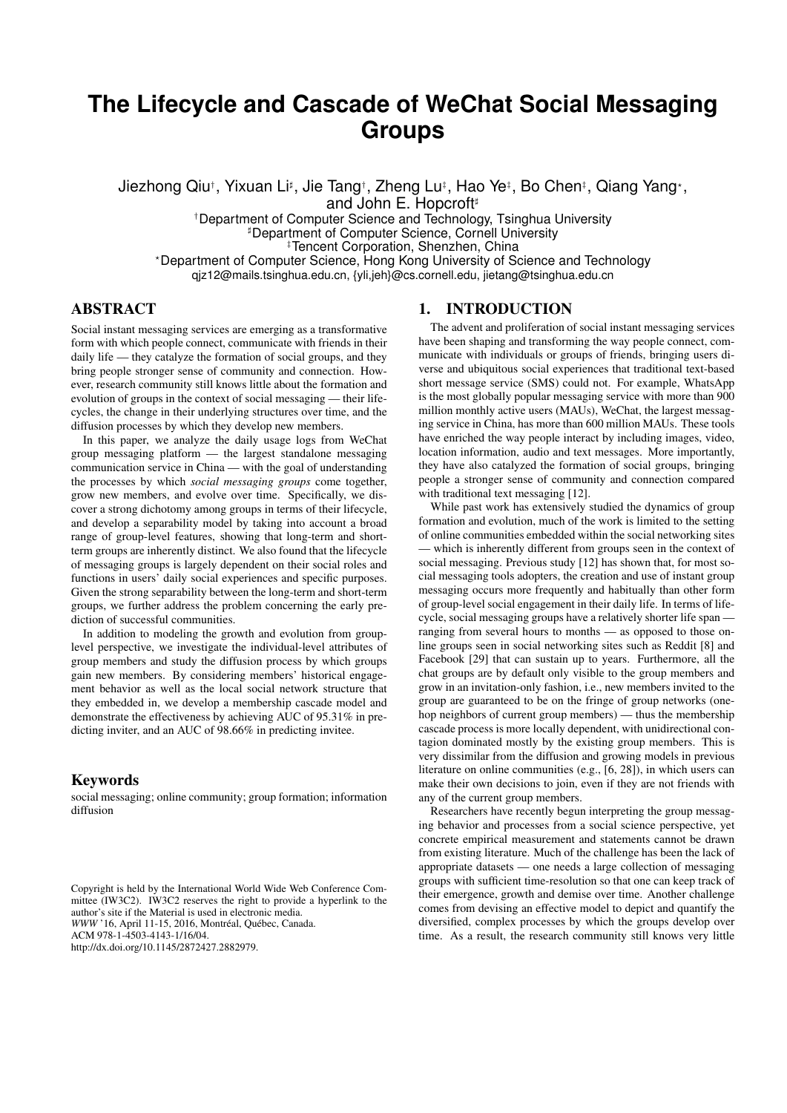# **The Lifecycle and Cascade of WeChat Social Messaging Groups**

Jiezhong Qiu†, Yixuan Li‡, Jie Tang†, Zheng Lu‡, Hao Ye‡, Bo Chen‡, Qiang Yang\*, and John E. Hopcroft<sup>#</sup>

†Department of Computer Science and Technology, Tsinghua University **Department of Computer Science, Cornell University** ‡Tencent Corporation, Shenzhen, China ?Department of Computer Science, Hong Kong University of Science and Technology qjz12@mails.tsinghua.edu.cn, {yli,jeh}@cs.cornell.edu, jietang@tsinghua.edu.cn

# ABSTRACT

Social instant messaging services are emerging as a transformative form with which people connect, communicate with friends in their daily life — they catalyze the formation of social groups, and they bring people stronger sense of community and connection. However, research community still knows little about the formation and evolution of groups in the context of social messaging — their lifecycles, the change in their underlying structures over time, and the diffusion processes by which they develop new members.

In this paper, we analyze the daily usage logs from WeChat group messaging platform — the largest standalone messaging communication service in China — with the goal of understanding the processes by which *social messaging groups* come together, grow new members, and evolve over time. Specifically, we discover a strong dichotomy among groups in terms of their lifecycle, and develop a separability model by taking into account a broad range of group-level features, showing that long-term and shortterm groups are inherently distinct. We also found that the lifecycle of messaging groups is largely dependent on their social roles and functions in users' daily social experiences and specific purposes. Given the strong separability between the long-term and short-term groups, we further address the problem concerning the early prediction of successful communities.

In addition to modeling the growth and evolution from grouplevel perspective, we investigate the individual-level attributes of group members and study the diffusion process by which groups gain new members. By considering members' historical engagement behavior as well as the local social network structure that they embedded in, we develop a membership cascade model and demonstrate the effectiveness by achieving AUC of 95.31% in predicting inviter, and an AUC of 98.66% in predicting invitee.

## Keywords

social messaging; online community; group formation; information diffusion

Copyright is held by the International World Wide Web Conference Committee (IW3C2). IW3C2 reserves the right to provide a hyperlink to the author's site if the Material is used in electronic media. *WWW* '16, April 11-15, 2016, Montréal, Québec, Canada. ACM 978-1-4503-4143-1/16/04. http://dx.doi.org/10.1145/2872427.2882979.

# 1. INTRODUCTION

The advent and proliferation of social instant messaging services have been shaping and transforming the way people connect, communicate with individuals or groups of friends, bringing users diverse and ubiquitous social experiences that traditional text-based short message service (SMS) could not. For example, WhatsApp is the most globally popular messaging service with more than 900 million monthly active users (MAUs), WeChat, the largest messaging service in China, has more than 600 million MAUs. These tools have enriched the way people interact by including images, video, location information, audio and text messages. More importantly, they have also catalyzed the formation of social groups, bringing people a stronger sense of community and connection compared with traditional text messaging [12].

While past work has extensively studied the dynamics of group formation and evolution, much of the work is limited to the setting of online communities embedded within the social networking sites which is inherently different from groups seen in the context of social messaging. Previous study [12] has shown that, for most social messaging tools adopters, the creation and use of instant group messaging occurs more frequently and habitually than other form of group-level social engagement in their daily life. In terms of lifecycle, social messaging groups have a relatively shorter life span ranging from several hours to months — as opposed to those online groups seen in social networking sites such as Reddit [8] and Facebook [29] that can sustain up to years. Furthermore, all the chat groups are by default only visible to the group members and grow in an invitation-only fashion, i.e., new members invited to the group are guaranteed to be on the fringe of group networks (onehop neighbors of current group members) — thus the membership cascade process is more locally dependent, with unidirectional contagion dominated mostly by the existing group members. This is very dissimilar from the diffusion and growing models in previous literature on online communities (e.g., [6, 28]), in which users can make their own decisions to join, even if they are not friends with any of the current group members.

Researchers have recently begun interpreting the group messaging behavior and processes from a social science perspective, yet concrete empirical measurement and statements cannot be drawn from existing literature. Much of the challenge has been the lack of appropriate datasets — one needs a large collection of messaging groups with sufficient time-resolution so that one can keep track of their emergence, growth and demise over time. Another challenge comes from devising an effective model to depict and quantify the diversified, complex processes by which the groups develop over time. As a result, the research community still knows very little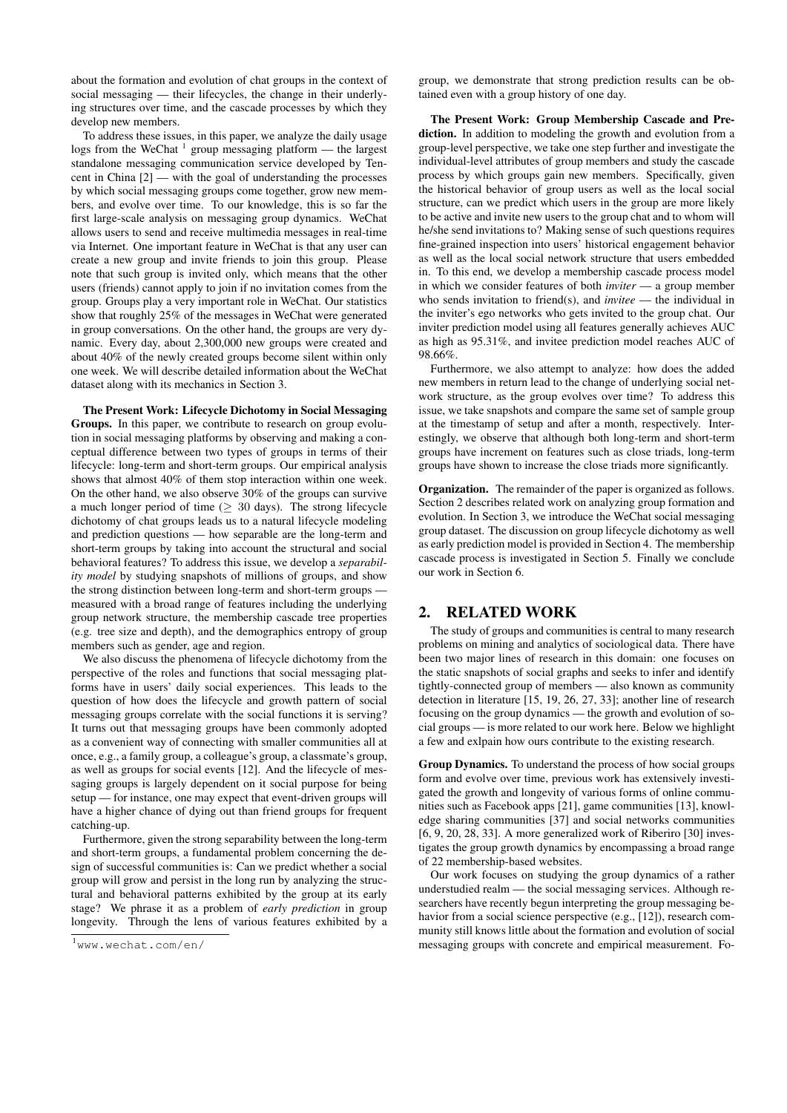about the formation and evolution of chat groups in the context of social messaging — their lifecycles, the change in their underlying structures over time, and the cascade processes by which they develop new members.

To address these issues, in this paper, we analyze the daily usage logs from the WeChat  $^1$  group messaging platform — the largest standalone messaging communication service developed by Tencent in China [2] — with the goal of understanding the processes by which social messaging groups come together, grow new members, and evolve over time. To our knowledge, this is so far the first large-scale analysis on messaging group dynamics. WeChat allows users to send and receive multimedia messages in real-time via Internet. One important feature in WeChat is that any user can create a new group and invite friends to join this group. Please note that such group is invited only, which means that the other users (friends) cannot apply to join if no invitation comes from the group. Groups play a very important role in WeChat. Our statistics show that roughly 25% of the messages in WeChat were generated in group conversations. On the other hand, the groups are very dynamic. Every day, about 2,300,000 new groups were created and about 40% of the newly created groups become silent within only one week. We will describe detailed information about the WeChat dataset along with its mechanics in Section 3.

The Present Work: Lifecycle Dichotomy in Social Messaging Groups. In this paper, we contribute to research on group evolution in social messaging platforms by observing and making a conceptual difference between two types of groups in terms of their lifecycle: long-term and short-term groups. Our empirical analysis shows that almost 40% of them stop interaction within one week. On the other hand, we also observe 30% of the groups can survive a much longer period of time ( $\geq 30$  days). The strong lifecycle dichotomy of chat groups leads us to a natural lifecycle modeling and prediction questions — how separable are the long-term and short-term groups by taking into account the structural and social behavioral features? To address this issue, we develop a *separability model* by studying snapshots of millions of groups, and show the strong distinction between long-term and short-term groups measured with a broad range of features including the underlying group network structure, the membership cascade tree properties (e.g. tree size and depth), and the demographics entropy of group members such as gender, age and region.

We also discuss the phenomena of lifecycle dichotomy from the perspective of the roles and functions that social messaging platforms have in users' daily social experiences. This leads to the question of how does the lifecycle and growth pattern of social messaging groups correlate with the social functions it is serving? It turns out that messaging groups have been commonly adopted as a convenient way of connecting with smaller communities all at once, e.g., a family group, a colleague's group, a classmate's group, as well as groups for social events [12]. And the lifecycle of messaging groups is largely dependent on it social purpose for being setup — for instance, one may expect that event-driven groups will have a higher chance of dying out than friend groups for frequent catching-up.

Furthermore, given the strong separability between the long-term and short-term groups, a fundamental problem concerning the design of successful communities is: Can we predict whether a social group will grow and persist in the long run by analyzing the structural and behavioral patterns exhibited by the group at its early stage? We phrase it as a problem of *early prediction* in group longevity. Through the lens of various features exhibited by a

group, we demonstrate that strong prediction results can be obtained even with a group history of one day.

The Present Work: Group Membership Cascade and Prediction. In addition to modeling the growth and evolution from a group-level perspective, we take one step further and investigate the individual-level attributes of group members and study the cascade process by which groups gain new members. Specifically, given the historical behavior of group users as well as the local social structure, can we predict which users in the group are more likely to be active and invite new users to the group chat and to whom will he/she send invitations to? Making sense of such questions requires fine-grained inspection into users' historical engagement behavior as well as the local social network structure that users embedded in. To this end, we develop a membership cascade process model in which we consider features of both *inviter* — a group member who sends invitation to friend(s), and *invitee* — the individual in the inviter's ego networks who gets invited to the group chat. Our inviter prediction model using all features generally achieves AUC as high as 95.31%, and invitee prediction model reaches AUC of 98.66%.

Furthermore, we also attempt to analyze: how does the added new members in return lead to the change of underlying social network structure, as the group evolves over time? To address this issue, we take snapshots and compare the same set of sample group at the timestamp of setup and after a month, respectively. Interestingly, we observe that although both long-term and short-term groups have increment on features such as close triads, long-term groups have shown to increase the close triads more significantly.

Organization. The remainder of the paper is organized as follows. Section 2 describes related work on analyzing group formation and evolution. In Section 3, we introduce the WeChat social messaging group dataset. The discussion on group lifecycle dichotomy as well as early prediction model is provided in Section 4. The membership cascade process is investigated in Section 5. Finally we conclude our work in Section 6.

#### 2. RELATED WORK

The study of groups and communities is central to many research problems on mining and analytics of sociological data. There have been two major lines of research in this domain: one focuses on the static snapshots of social graphs and seeks to infer and identify tightly-connected group of members — also known as community detection in literature [15, 19, 26, 27, 33]; another line of research focusing on the group dynamics — the growth and evolution of social groups — is more related to our work here. Below we highlight a few and exlpain how ours contribute to the existing research.

Group Dynamics. To understand the process of how social groups form and evolve over time, previous work has extensively investigated the growth and longevity of various forms of online communities such as Facebook apps [21], game communities [13], knowledge sharing communities [37] and social networks communities [6, 9, 20, 28, 33]. A more generalized work of Riberiro [30] investigates the group growth dynamics by encompassing a broad range of 22 membership-based websites.

Our work focuses on studying the group dynamics of a rather understudied realm — the social messaging services. Although researchers have recently begun interpreting the group messaging behavior from a social science perspective (e.g., [12]), research community still knows little about the formation and evolution of social messaging groups with concrete and empirical measurement. Fo-

<sup>1</sup>www.wechat.com/en/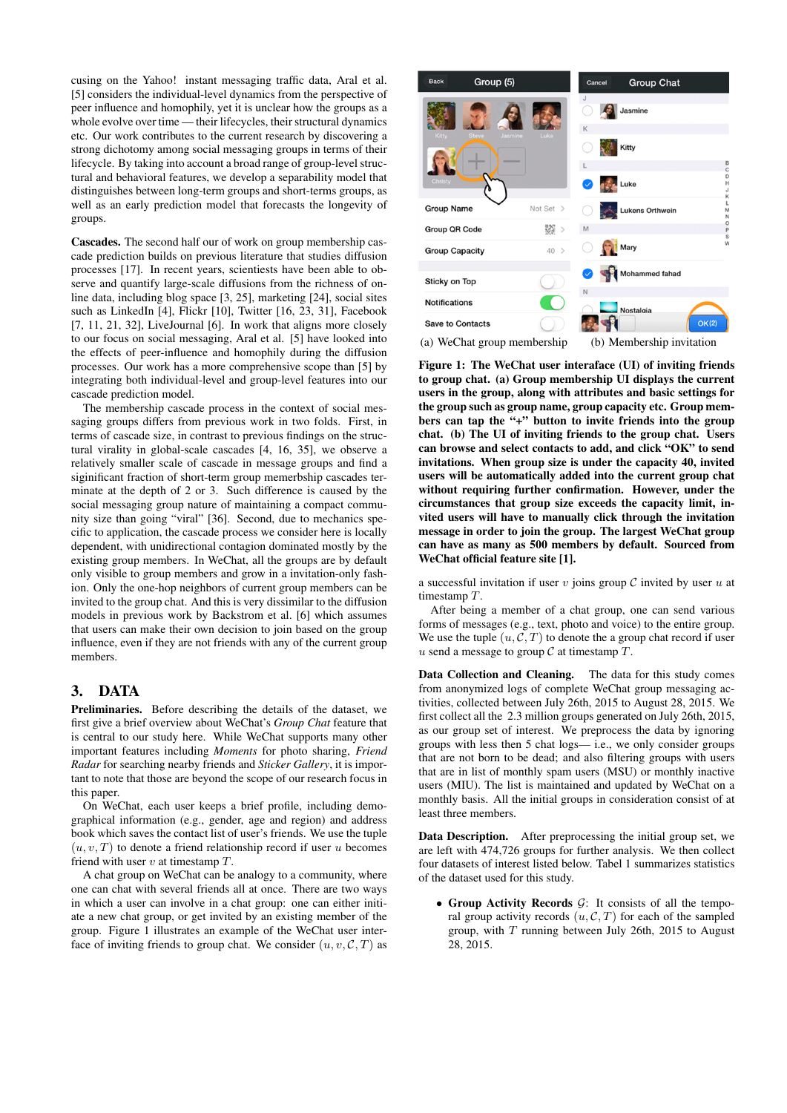cusing on the Yahoo! instant messaging traffic data, Aral et al. [5] considers the individual-level dynamics from the perspective of peer influence and homophily, yet it is unclear how the groups as a whole evolve over time — their lifecycles, their structural dynamics etc. Our work contributes to the current research by discovering a strong dichotomy among social messaging groups in terms of their lifecycle. By taking into account a broad range of group-level structural and behavioral features, we develop a separability model that distinguishes between long-term groups and short-terms groups, as well as an early prediction model that forecasts the longevity of groups.

Cascades. The second half our of work on group membership cascade prediction builds on previous literature that studies diffusion processes [17]. In recent years, scientiests have been able to observe and quantify large-scale diffusions from the richness of online data, including blog space [3, 25], marketing [24], social sites such as LinkedIn [4], Flickr [10], Twitter [16, 23, 31], Facebook [7, 11, 21, 32], LiveJournal [6]. In work that aligns more closely to our focus on social messaging, Aral et al. [5] have looked into the effects of peer-influence and homophily during the diffusion processes. Our work has a more comprehensive scope than [5] by integrating both individual-level and group-level features into our cascade prediction model.

The membership cascade process in the context of social messaging groups differs from previous work in two folds. First, in terms of cascade size, in contrast to previous findings on the structural virality in global-scale cascades [4, 16, 35], we observe a relatively smaller scale of cascade in message groups and find a siginificant fraction of short-term group memerbship cascades terminate at the depth of 2 or 3. Such difference is caused by the social messaging group nature of maintaining a compact community size than going "viral" [36]. Second, due to mechanics specific to application, the cascade process we consider here is locally dependent, with unidirectional contagion dominated mostly by the existing group members. In WeChat, all the groups are by default only visible to group members and grow in a invitation-only fashion. Only the one-hop neighbors of current group members can be invited to the group chat. And this is very dissimilar to the diffusion models in previous work by Backstrom et al. [6] which assumes that users can make their own decision to join based on the group influence, even if they are not friends with any of the current group members.

# 3. DATA

Preliminaries. Before describing the details of the dataset, we first give a brief overview about WeChat's *Group Chat* feature that is central to our study here. While WeChat supports many other important features including *Moments* for photo sharing, *Friend Radar* for searching nearby friends and *Sticker Gallery*, it is important to note that those are beyond the scope of our research focus in this paper.

On WeChat, each user keeps a brief profile, including demographical information (e.g., gender, age and region) and address book which saves the contact list of user's friends. We use the tuple  $(u, v, T)$  to denote a friend relationship record if user u becomes friend with user  $v$  at timestamp  $T$ .

A chat group on WeChat can be analogy to a community, where one can chat with several friends all at once. There are two ways in which a user can involve in a chat group: one can either initiate a new chat group, or get invited by an existing member of the group. Figure 1 illustrates an example of the WeChat user interface of inviting friends to group chat. We consider  $(u, v, \mathcal{C}, T)$  as



Figure 1: The WeChat user interaface (UI) of inviting friends to group chat. (a) Group membership UI displays the current users in the group, along with attributes and basic settings for the group such as group name, group capacity etc. Group members can tap the "+" button to invite friends into the group chat. (b) The UI of inviting friends to the group chat. Users can browse and select contacts to add, and click "OK" to send invitations. When group size is under the capacity 40, invited users will be automatically added into the current group chat without requiring further confirmation. However, under the circumstances that group size exceeds the capacity limit, invited users will have to manually click through the invitation message in order to join the group. The largest WeChat group can have as many as 500 members by default. Sourced from WeChat official feature site [1].

a successful invitation if user  $v$  joins group  $\mathcal C$  invited by user  $u$  at timestamp T.

After being a member of a chat group, one can send various forms of messages (e.g., text, photo and voice) to the entire group. We use the tuple  $(u, \mathcal{C}, T)$  to denote the a group chat record if user u send a message to group  $\mathcal C$  at timestamp  $T$ .

Data Collection and Cleaning. The data for this study comes from anonymized logs of complete WeChat group messaging activities, collected between July 26th, 2015 to August 28, 2015. We first collect all the 2.3 million groups generated on July 26th, 2015, as our group set of interest. We preprocess the data by ignoring groups with less then 5 chat logs— i.e., we only consider groups that are not born to be dead; and also filtering groups with users that are in list of monthly spam users (MSU) or monthly inactive users (MIU). The list is maintained and updated by WeChat on a monthly basis. All the initial groups in consideration consist of at least three members.

Data Description. After preprocessing the initial group set, we are left with 474,726 groups for further analysis. We then collect four datasets of interest listed below. Tabel 1 summarizes statistics of the dataset used for this study.

• Group Activity Records  $G$ : It consists of all the temporal group activity records  $(u, \mathcal{C}, T)$  for each of the sampled group, with  $T$  running between July 26th, 2015 to August 28, 2015.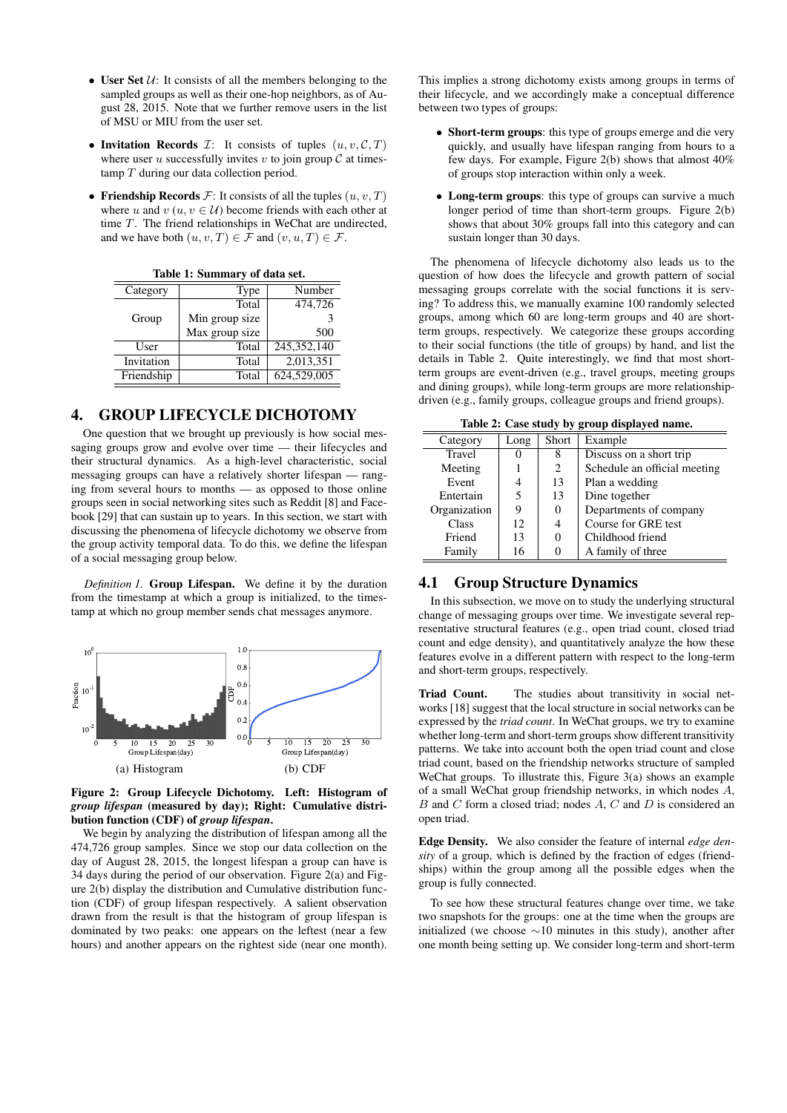- User Set  $U$ : It consists of all the members belonging to the sampled groups as well as their one-hop neighbors, as of August 28, 2015. Note that we further remove users in the list of MSU or MIU from the user set.
- Invitation Records  $\mathcal{I}$ : It consists of tuples  $(u, v, \mathcal{C}, T)$ where user u successfully invites v to join group  $\mathcal C$  at timestamp T during our data collection period.
- Friendship Records  $\mathcal{F}$ : It consists of all the tuples  $(u, v, T)$ where u and  $v$  ( $u, v \in U$ ) become friends with each other at time T. The friend relationships in WeChat are undirected, and we have both  $(u, v, T) \in \mathcal{F}$  and  $(v, u, T) \in \mathcal{F}$ .

| Table 1: Summary of data set. |                |               |  |  |  |
|-------------------------------|----------------|---------------|--|--|--|
| Category                      | Type           | Number        |  |  |  |
|                               | Total          | 474,726       |  |  |  |
| Group                         | Min group size | 3             |  |  |  |
|                               | Max group size | 500           |  |  |  |
| User                          | Total          | 245, 352, 140 |  |  |  |
| Invitation                    | Total          | 2,013,351     |  |  |  |
| Friendship                    | Total          | 624,529,005   |  |  |  |

 $T$ . I:  $I: S$ ummary of data

 $\overline{a}$ 

 $\overline{a}$ 

## 4. GROUP LIFECYCLE DICHOTOMY

One question that we brought up previously is how social messaging groups grow and evolve over time — their lifecycles and their structural dynamics. As a high-level characteristic, social messaging groups can have a relatively shorter lifespan — ranging from several hours to months — as opposed to those online groups seen in social networking sites such as Reddit [8] and Facebook [29] that can sustain up to years. In this section, we start with discussing the phenomena of lifecycle dichotomy we observe from the group activity temporal data. To do this, we define the lifespan of a social messaging group below.

*Definition 1.* Group Lifespan. We define it by the duration from the timestamp at which a group is initialized, to the timestamp at which no group member sends chat messages anymore.



Figure 2: Group Lifecycle Dichotomy. Left: Histogram of *group lifespan* (measured by day); Right: Cumulative distribution function (CDF) of *group lifespan*.

We begin by analyzing the distribution of lifespan among all the 474,726 group samples. Since we stop our data collection on the day of August 28, 2015, the longest lifespan a group can have is 34 days during the period of our observation. Figure 2(a) and Figure 2(b) display the distribution and Cumulative distribution function (CDF) of group lifespan respectively. A salient observation drawn from the result is that the histogram of group lifespan is dominated by two peaks: one appears on the leftest (near a few hours) and another appears on the rightest side (near one month).

This implies a strong dichotomy exists among groups in terms of their lifecycle, and we accordingly make a conceptual difference between two types of groups:

- Short-term groups: this type of groups emerge and die very quickly, and usually have lifespan ranging from hours to a few days. For example, Figure 2(b) shows that almost 40% of groups stop interaction within only a week.
- Long-term groups: this type of groups can survive a much longer period of time than short-term groups. Figure 2(b) shows that about 30% groups fall into this category and can sustain longer than 30 days.

The phenomena of lifecycle dichotomy also leads us to the question of how does the lifecycle and growth pattern of social messaging groups correlate with the social functions it is serving? To address this, we manually examine 100 randomly selected groups, among which 60 are long-term groups and 40 are shortterm groups, respectively. We categorize these groups according to their social functions (the title of groups) by hand, and list the details in Table 2. Quite interestingly, we find that most shortterm groups are event-driven (e.g., travel groups, meeting groups and dining groups), while long-term groups are more relationshipdriven (e.g., family groups, colleague groups and friend groups).

Table 2: Case study by group displayed name.

| Table 2. Case staay by group displayed hame. |      |       |                              |  |  |  |
|----------------------------------------------|------|-------|------------------------------|--|--|--|
| Category                                     | Long | Short | Example                      |  |  |  |
| Travel                                       |      | 8     | Discuss on a short trip      |  |  |  |
| Meeting                                      |      | 2     | Schedule an official meeting |  |  |  |
| Event                                        | 4    | 13    | Plan a wedding               |  |  |  |
| Entertain                                    | 5    | 13    | Dine together                |  |  |  |
| Organization                                 | 9    | 0     | Departments of company       |  |  |  |
| Class                                        | 12   | 4     | Course for GRE test          |  |  |  |
| Friend                                       | 13   |       | Childhood friend             |  |  |  |
| Family                                       | 16   |       | A family of three            |  |  |  |

#### 4.1 Group Structure Dynamics

In this subsection, we move on to study the underlying structural change of messaging groups over time. We investigate several representative structural features (e.g., open triad count, closed triad count and edge density), and quantitatively analyze the how these features evolve in a different pattern with respect to the long-term and short-term groups, respectively.

Triad Count. The studies about transitivity in social networks [18] suggest that the local structure in social networks can be expressed by the *triad count*. In WeChat groups, we try to examine whether long-term and short-term groups show different transitivity patterns. We take into account both the open triad count and close triad count, based on the friendship networks structure of sampled WeChat groups. To illustrate this, Figure 3(a) shows an example of a small WeChat group friendship networks, in which nodes A,  $B$  and  $C$  form a closed triad; nodes  $A, C$  and  $D$  is considered an open triad.

Edge Density. We also consider the feature of internal *edge density* of a group, which is defined by the fraction of edges (friendships) within the group among all the possible edges when the group is fully connected.

To see how these structural features change over time, we take two snapshots for the groups: one at the time when the groups are initialized (we choose  $\sim$ 10 minutes in this study), another after one month being setting up. We consider long-term and short-term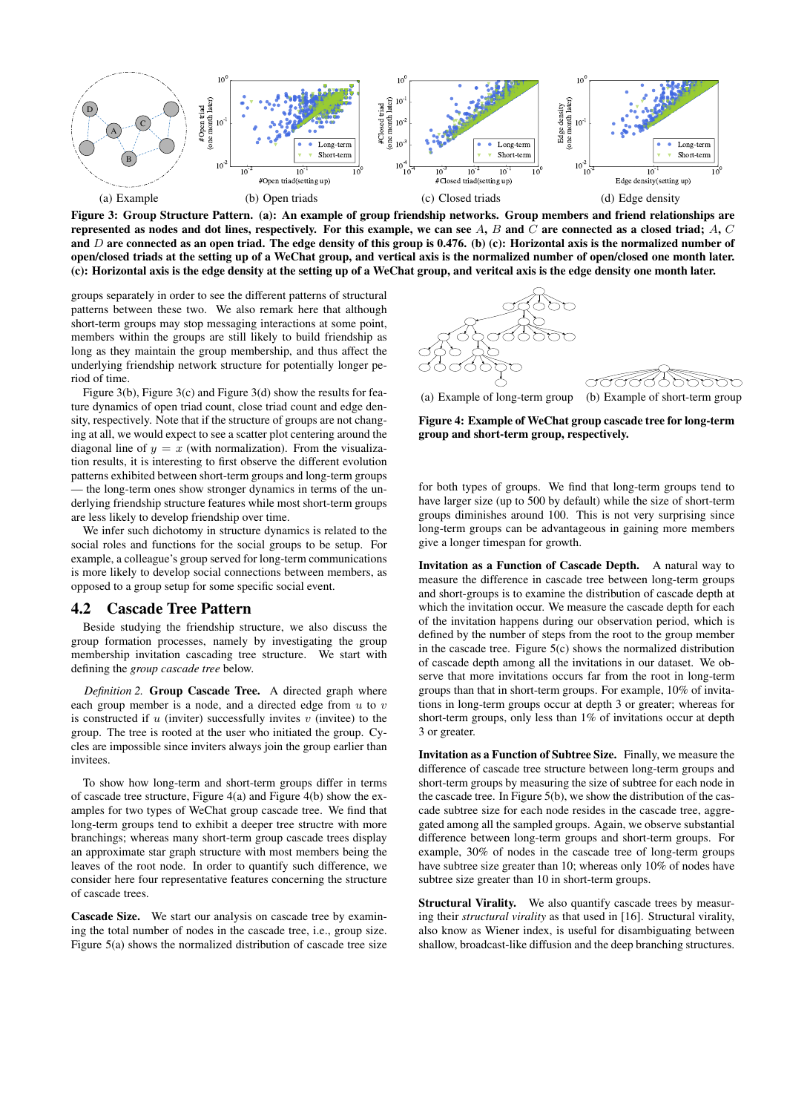

Figure 3: Group Structure Pattern. (a): An example of group friendship networks. Group members and friend relationships are represented as nodes and dot lines, respectively. For this example, we can see  $A, B$  and  $C$  are connected as a closed triad;  $A, C$ and D are connected as an open triad. The edge density of this group is 0.476. (b) (c): Horizontal axis is the normalized number of open/closed triads at the setting up of a WeChat group, and vertical axis is the normalized number of open/closed one month later. (c): Horizontal axis is the edge density at the setting up of a WeChat group, and veritcal axis is the edge density one month later.

groups separately in order to see the different patterns of structural patterns between these two. We also remark here that although short-term groups may stop messaging interactions at some point, members within the groups are still likely to build friendship as long as they maintain the group membership, and thus affect the underlying friendship network structure for potentially longer period of time.

Figure 3(b), Figure 3(c) and Figure 3(d) show the results for feature dynamics of open triad count, close triad count and edge density, respectively. Note that if the structure of groups are not changing at all, we would expect to see a scatter plot centering around the diagonal line of  $y = x$  (with normalization). From the visualization results, it is interesting to first observe the different evolution patterns exhibited between short-term groups and long-term groups — the long-term ones show stronger dynamics in terms of the underlying friendship structure features while most short-term groups are less likely to develop friendship over time.

We infer such dichotomy in structure dynamics is related to the social roles and functions for the social groups to be setup. For example, a colleague's group served for long-term communications is more likely to develop social connections between members, as opposed to a group setup for some specific social event.

#### 4.2 Cascade Tree Pattern

Beside studying the friendship structure, we also discuss the group formation processes, namely by investigating the group membership invitation cascading tree structure. We start with defining the *group cascade tree* below.

*Definition 2.* Group Cascade Tree. A directed graph where each group member is a node, and a directed edge from  $u$  to  $v$ is constructed if  $u$  (inviter) successfully invites  $v$  (invitee) to the group. The tree is rooted at the user who initiated the group. Cycles are impossible since inviters always join the group earlier than invitees.

To show how long-term and short-term groups differ in terms of cascade tree structure, Figure 4(a) and Figure 4(b) show the examples for two types of WeChat group cascade tree. We find that long-term groups tend to exhibit a deeper tree structre with more branchings; whereas many short-term group cascade trees display an approximate star graph structure with most members being the leaves of the root node. In order to quantify such difference, we consider here four representative features concerning the structure of cascade trees.

Cascade Size. We start our analysis on cascade tree by examining the total number of nodes in the cascade tree, i.e., group size. Figure 5(a) shows the normalized distribution of cascade tree size



Figure 4: Example of WeChat group cascade tree for long-term group and short-term group, respectively.

for both types of groups. We find that long-term groups tend to have larger size (up to 500 by default) while the size of short-term groups diminishes around 100. This is not very surprising since long-term groups can be advantageous in gaining more members give a longer timespan for growth.

Invitation as a Function of Cascade Depth. A natural way to measure the difference in cascade tree between long-term groups and short-groups is to examine the distribution of cascade depth at which the invitation occur. We measure the cascade depth for each of the invitation happens during our observation period, which is defined by the number of steps from the root to the group member in the cascade tree. Figure 5(c) shows the normalized distribution of cascade depth among all the invitations in our dataset. We observe that more invitations occurs far from the root in long-term groups than that in short-term groups. For example, 10% of invitations in long-term groups occur at depth 3 or greater; whereas for short-term groups, only less than 1% of invitations occur at depth 3 or greater.

Invitation as a Function of Subtree Size. Finally, we measure the difference of cascade tree structure between long-term groups and short-term groups by measuring the size of subtree for each node in the cascade tree. In Figure 5(b), we show the distribution of the cascade subtree size for each node resides in the cascade tree, aggregated among all the sampled groups. Again, we observe substantial difference between long-term groups and short-term groups. For example, 30% of nodes in the cascade tree of long-term groups have subtree size greater than 10; whereas only 10% of nodes have subtree size greater than 10 in short-term groups.

Structural Virality. We also quantify cascade trees by measuring their *structural virality* as that used in [16]. Structural virality, also know as Wiener index, is useful for disambiguating between shallow, broadcast-like diffusion and the deep branching structures.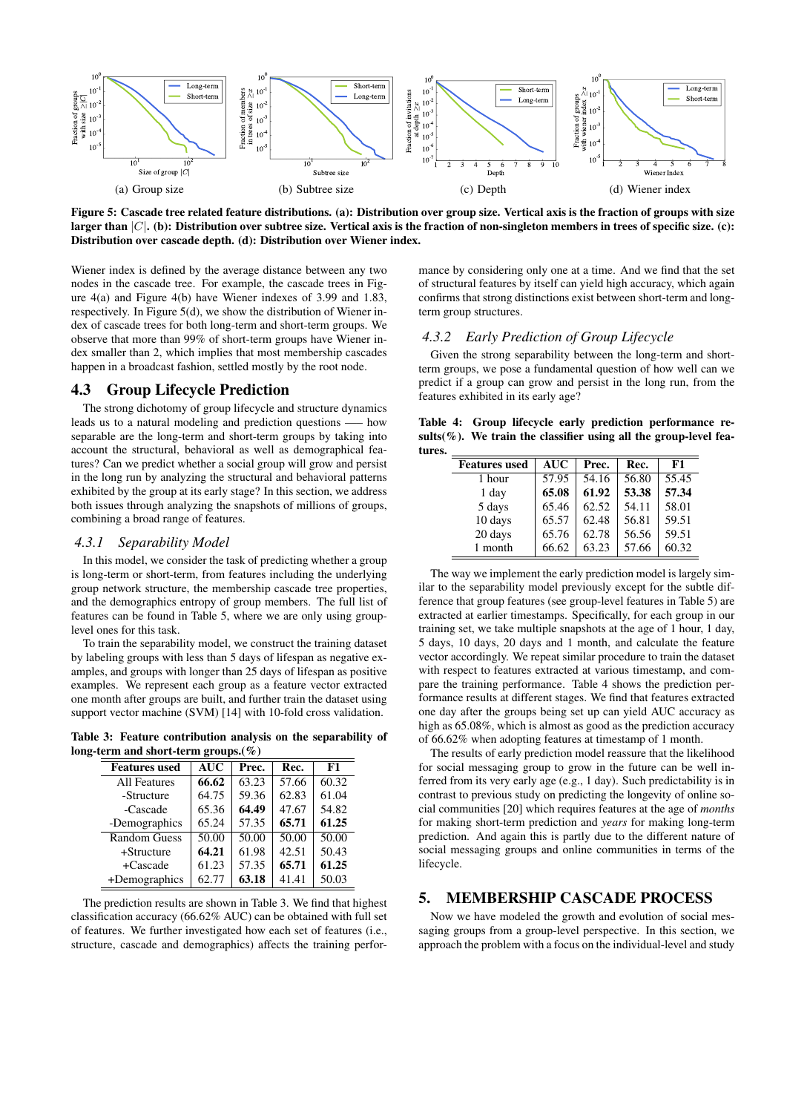

Figure 5: Cascade tree related feature distributions. (a): Distribution over group size. Vertical axis is the fraction of groups with size larger than  $|C|$ . (b): Distribution over subtree size. Vertical axis is the fraction of non-singleton members in trees of specific size. (c): Distribution over cascade depth. (d): Distribution over Wiener index.

Wiener index is defined by the average distance between any two nodes in the cascade tree. For example, the cascade trees in Figure 4(a) and Figure 4(b) have Wiener indexes of 3.99 and 1.83, respectively. In Figure 5(d), we show the distribution of Wiener index of cascade trees for both long-term and short-term groups. We observe that more than 99% of short-term groups have Wiener index smaller than 2, which implies that most membership cascades happen in a broadcast fashion, settled mostly by the root node.

## 4.3 Group Lifecycle Prediction

The strong dichotomy of group lifecycle and structure dynamics leads us to a natural modeling and prediction questions —– how separable are the long-term and short-term groups by taking into account the structural, behavioral as well as demographical features? Can we predict whether a social group will grow and persist in the long run by analyzing the structural and behavioral patterns exhibited by the group at its early stage? In this section, we address both issues through analyzing the snapshots of millions of groups, combining a broad range of features.

### *4.3.1 Separability Model*

In this model, we consider the task of predicting whether a group is long-term or short-term, from features including the underlying group network structure, the membership cascade tree properties, and the demographics entropy of group members. The full list of features can be found in Table 5, where we are only using grouplevel ones for this task.

To train the separability model, we construct the training dataset by labeling groups with less than 5 days of lifespan as negative examples, and groups with longer than 25 days of lifespan as positive examples. We represent each group as a feature vector extracted one month after groups are built, and further train the dataset using support vector machine (SVM) [14] with 10-fold cross validation.

Table 3: Feature contribution analysis on the separability of long-term and short-term groups.(%)

| <b>Features</b> used | <b>AUC</b> | Prec. | Rec.  | F1    |  |  |
|----------------------|------------|-------|-------|-------|--|--|
| <b>All Features</b>  | 66.62      | 63.23 | 57.66 | 60.32 |  |  |
| -Structure           | 64.75      | 59.36 | 62.83 | 61.04 |  |  |
| -Cascade             | 65.36      | 64.49 | 47.67 | 54.82 |  |  |
| -Demographics        | 65.24      | 57.35 | 65.71 | 61.25 |  |  |
| <b>Random Guess</b>  | 50.00      | 50.00 | 50.00 | 50.00 |  |  |
| $+$ Structure        | 64.21      | 61.98 | 42.51 | 50.43 |  |  |
| +Cascade             | 61.23      | 57.35 | 65.71 | 61.25 |  |  |
| +Demographics        | 62.77      | 63.18 | 41.41 | 50.03 |  |  |

The prediction results are shown in Table 3. We find that highest classification accuracy (66.62% AUC) can be obtained with full set of features. We further investigated how each set of features (i.e., structure, cascade and demographics) affects the training performance by considering only one at a time. And we find that the set of structural features by itself can yield high accuracy, which again confirms that strong distinctions exist between short-term and longterm group structures.

#### *4.3.2 Early Prediction of Group Lifecycle*

Given the strong separability between the long-term and shortterm groups, we pose a fundamental question of how well can we predict if a group can grow and persist in the long run, from the features exhibited in its early age?

Table 4: Group lifecycle early prediction performance results(%). We train the classifier using all the group-level features.

| <b>Features</b> used | <b>AUC</b> | Prec. | Rec.  | F1    |
|----------------------|------------|-------|-------|-------|
| 1 hour               | 57.95      | 54.16 | 56.80 | 55.45 |
| 1 day                | 65.08      | 61.92 | 53.38 | 57.34 |
| 5 days               | 65.46      | 62.52 | 54.11 | 58.01 |
| 10 days              | 65.57      | 62.48 | 56.81 | 59.51 |
| 20 days              | 65.76      | 62.78 | 56.56 | 59.51 |
| 1 month              | 66.62      | 63.23 | 57.66 | 60.32 |

The way we implement the early prediction model is largely similar to the separability model previously except for the subtle difference that group features (see group-level features in Table 5) are extracted at earlier timestamps. Specifically, for each group in our training set, we take multiple snapshots at the age of 1 hour, 1 day, 5 days, 10 days, 20 days and 1 month, and calculate the feature vector accordingly. We repeat similar procedure to train the dataset with respect to features extracted at various timestamp, and compare the training performance. Table 4 shows the prediction performance results at different stages. We find that features extracted one day after the groups being set up can yield AUC accuracy as high as  $65.08\%$ , which is almost as good as the prediction accuracy of 66.62% when adopting features at timestamp of 1 month.

The results of early prediction model reassure that the likelihood for social messaging group to grow in the future can be well inferred from its very early age (e.g., 1 day). Such predictability is in contrast to previous study on predicting the longevity of online social communities [20] which requires features at the age of *months* for making short-term prediction and *years* for making long-term prediction. And again this is partly due to the different nature of social messaging groups and online communities in terms of the lifecycle.

# 5. MEMBERSHIP CASCADE PROCESS

Now we have modeled the growth and evolution of social messaging groups from a group-level perspective. In this section, we approach the problem with a focus on the individual-level and study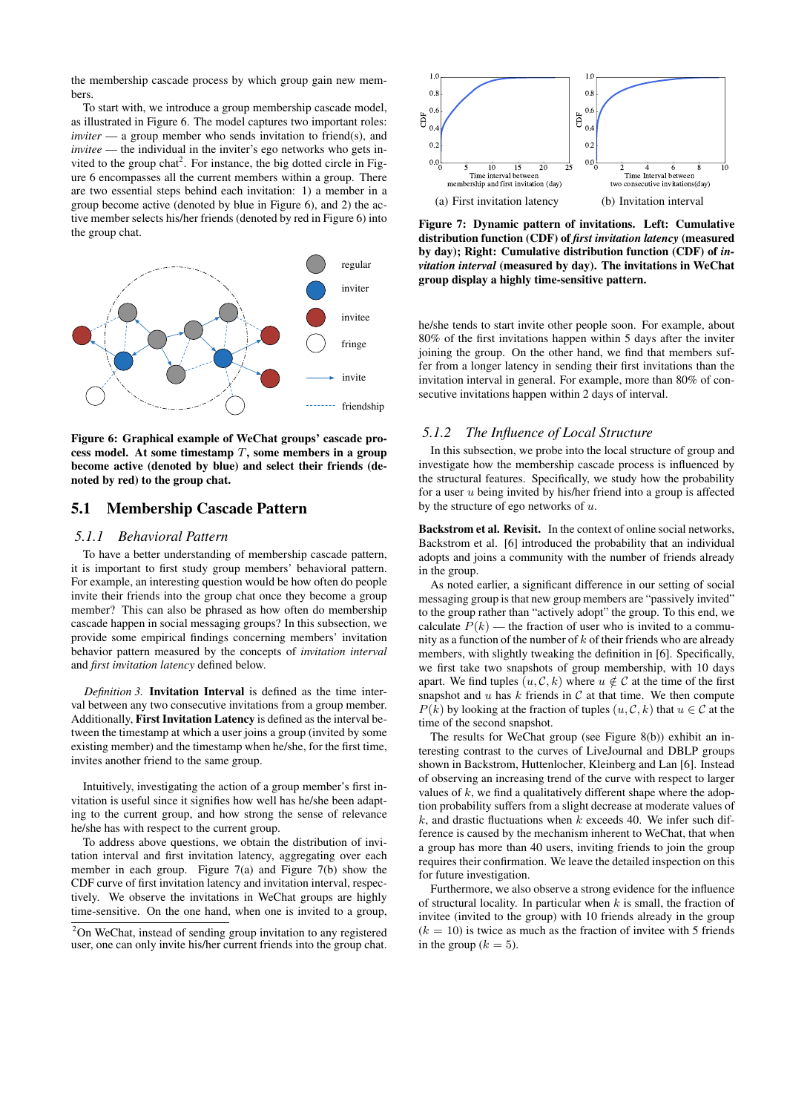the membership cascade process by which group gain new members.

To start with, we introduce a group membership cascade model, as illustrated in Figure 6. The model captures two important roles: *inviter* — a group member who sends invitation to friend(s), and *invitee* — the individual in the inviter's ego networks who gets invited to the group chat<sup>2</sup>. For instance, the big dotted circle in Figure 6 encompasses all the current members within a group. There are two essential steps behind each invitation: 1) a member in a group become active (denoted by blue in Figure 6), and 2) the active member selects his/her friends (denoted by red in Figure 6) into the group chat.



Figure 6: Graphical example of WeChat groups' cascade process model. At some timestamp  $T$ , some members in a group become active (denoted by blue) and select their friends (denoted by red) to the group chat.

#### 5.1 Membership Cascade Pattern

#### *5.1.1 Behavioral Pattern*

To have a better understanding of membership cascade pattern, it is important to first study group members' behavioral pattern. For example, an interesting question would be how often do people invite their friends into the group chat once they become a group member? This can also be phrased as how often do membership cascade happen in social messaging groups? In this subsection, we provide some empirical findings concerning members' invitation behavior pattern measured by the concepts of *invitation interval* and *first invitation latency* defined below.

*Definition 3.* Invitation Interval is defined as the time interval between any two consecutive invitations from a group member. Additionally, First Invitation Latency is defined as the interval between the timestamp at which a user joins a group (invited by some existing member) and the timestamp when he/she, for the first time, invites another friend to the same group.

Intuitively, investigating the action of a group member's first invitation is useful since it signifies how well has he/she been adapting to the current group, and how strong the sense of relevance he/she has with respect to the current group.

To address above questions, we obtain the distribution of invitation interval and first invitation latency, aggregating over each member in each group. Figure 7(a) and Figure 7(b) show the CDF curve of first invitation latency and invitation interval, respectively. We observe the invitations in WeChat groups are highly time-sensitive. On the one hand, when one is invited to a group,



Figure 7: Dynamic pattern of invitations. Left: Cumulative distribution function (CDF) of *first invitation latency* (measured by day); Right: Cumulative distribution function (CDF) of *invitation interval* (measured by day). The invitations in WeChat group display a highly time-sensitive pattern.

he/she tends to start invite other people soon. For example, about 80% of the first invitations happen within 5 days after the inviter joining the group. On the other hand, we find that members suffer from a longer latency in sending their first invitations than the invitation interval in general. For example, more than 80% of consecutive invitations happen within 2 days of interval.

#### *5.1.2 The Influence of Local Structure*

In this subsection, we probe into the local structure of group and investigate how the membership cascade process is influenced by the structural features. Specifically, we study how the probability for a user  $u$  being invited by his/her friend into a group is affected by the structure of ego networks of  $u$ .

Backstrom et al. Revisit. In the context of online social networks, Backstrom et al. [6] introduced the probability that an individual adopts and joins a community with the number of friends already in the group.

As noted earlier, a significant difference in our setting of social messaging group is that new group members are "passively invited" to the group rather than "actively adopt" the group. To this end, we calculate  $P(k)$  — the fraction of user who is invited to a community as a function of the number of  $k$  of their friends who are already members, with slightly tweaking the definition in [6]. Specifically, we first take two snapshots of group membership, with 10 days apart. We find tuples  $(u, \mathcal{C}, k)$  where  $u \notin \mathcal{C}$  at the time of the first snapshot and  $u$  has  $k$  friends in  $C$  at that time. We then compute  $P(k)$  by looking at the fraction of tuples  $(u, \mathcal{C}, k)$  that  $u \in \mathcal{C}$  at the time of the second snapshot.

The results for WeChat group (see Figure 8(b)) exhibit an interesting contrast to the curves of LiveJournal and DBLP groups shown in Backstrom, Huttenlocher, Kleinberg and Lan [6]. Instead of observing an increasing trend of the curve with respect to larger values of  $k$ , we find a qualitatively different shape where the adoption probability suffers from a slight decrease at moderate values of  $k$ , and drastic fluctuations when  $k$  exceeds 40. We infer such difference is caused by the mechanism inherent to WeChat, that when a group has more than 40 users, inviting friends to join the group requires their confirmation. We leave the detailed inspection on this for future investigation.

Furthermore, we also observe a strong evidence for the influence of structural locality. In particular when  $k$  is small, the fraction of invitee (invited to the group) with 10 friends already in the group  $(k = 10)$  is twice as much as the fraction of invitee with 5 friends in the group ( $k = 5$ ).

<sup>&</sup>lt;sup>2</sup>On WeChat, instead of sending group invitation to any registered user, one can only invite his/her current friends into the group chat.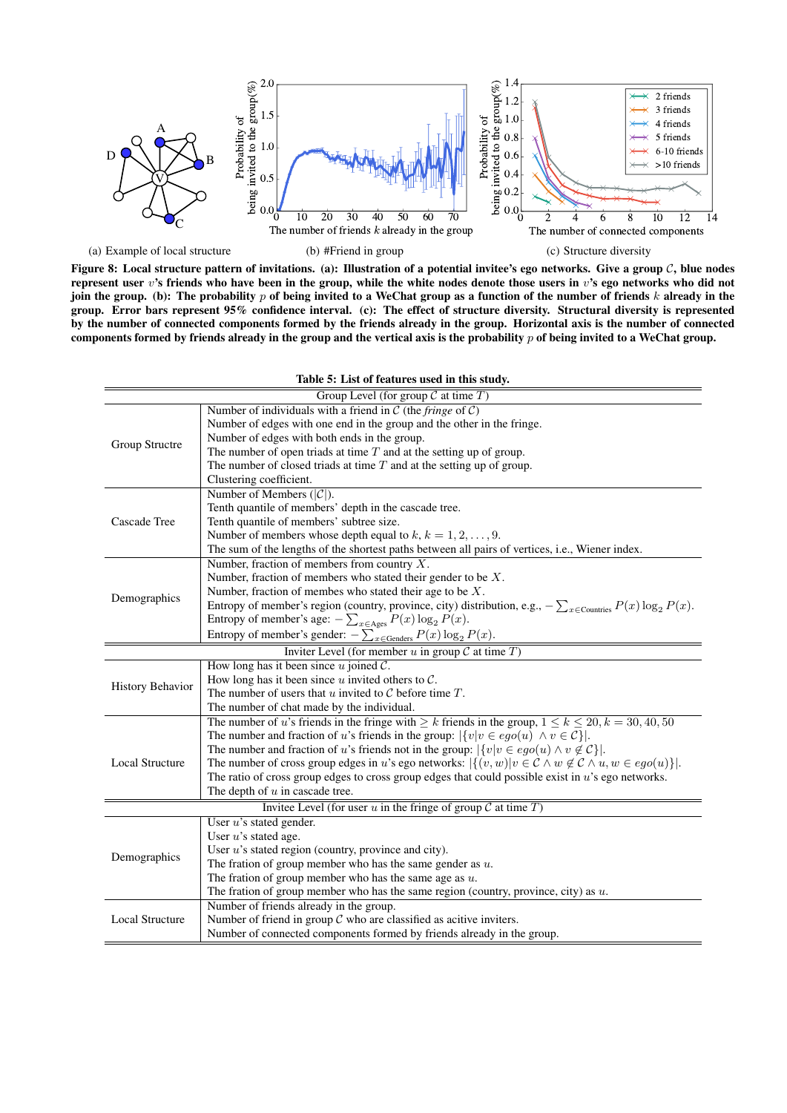

Figure 8: Local structure pattern of invitations. (a): Illustration of a potential invitee's ego networks. Give a group  $C$ , blue nodes represent user v's friends who have been in the group, while the white nodes denote those users in v's ego networks who did not join the group. (b): The probability  $p$  of being invited to a WeChat group as a function of the number of friends  $k$  already in the group. Error bars represent 95% confidence interval. (c): The effect of structure diversity. Structural diversity is represented by the number of connected components formed by the friends already in the group. Horizontal axis is the number of connected components formed by friends already in the group and the vertical axis is the probability  $p$  of being invited to a WeChat group.

| Table 5: List of features used in this study.                          |                                                                                                                              |  |  |  |  |  |
|------------------------------------------------------------------------|------------------------------------------------------------------------------------------------------------------------------|--|--|--|--|--|
| Group Level (for group $C$ at time $T$ )                               |                                                                                                                              |  |  |  |  |  |
| Number of individuals with a friend in $C$ (the <i>fringe</i> of $C$ ) |                                                                                                                              |  |  |  |  |  |
|                                                                        | Number of edges with one end in the group and the other in the fringe.                                                       |  |  |  |  |  |
|                                                                        | Number of edges with both ends in the group.                                                                                 |  |  |  |  |  |
| Group Structre                                                         | The number of open triads at time $T$ and at the setting up of group.                                                        |  |  |  |  |  |
|                                                                        | The number of closed triads at time $T$ and at the setting up of group.                                                      |  |  |  |  |  |
|                                                                        | Clustering coefficient.                                                                                                      |  |  |  |  |  |
|                                                                        | Number of Members $( C )$ .                                                                                                  |  |  |  |  |  |
|                                                                        | Tenth quantile of members' depth in the cascade tree.                                                                        |  |  |  |  |  |
| Cascade Tree                                                           | Tenth quantile of members' subtree size.                                                                                     |  |  |  |  |  |
|                                                                        | Number of members whose depth equal to $k, k = 1, 2, , 9$ .                                                                  |  |  |  |  |  |
|                                                                        | The sum of the lengths of the shortest paths between all pairs of vertices, i.e., Wiener index.                              |  |  |  |  |  |
|                                                                        | Number, fraction of members from country $X$ .                                                                               |  |  |  |  |  |
|                                                                        | Number, fraction of members who stated their gender to be $X$ .                                                              |  |  |  |  |  |
|                                                                        | Number, fraction of membes who stated their age to be $X$ .                                                                  |  |  |  |  |  |
| Demographics                                                           | Entropy of member's region (country, province, city) distribution, e.g., $-\sum_{x \in \text{Countries}} P(x) \log_2 P(x)$ . |  |  |  |  |  |
|                                                                        | Entropy of member's age: $-\sum_{x \in \text{Ages}} P(x) \log_2 P(x)$ .                                                      |  |  |  |  |  |
|                                                                        | Entropy of member's gender: $-\sum_{x \in \text{Geodes}} P(x) \log_2 P(x)$ .                                                 |  |  |  |  |  |
|                                                                        | Inviter Level (for member u in group $\mathcal C$ at time $T$ )                                                              |  |  |  |  |  |
|                                                                        | How long has it been since $u$ joined $\mathcal{C}$ .                                                                        |  |  |  |  |  |
|                                                                        | How long has it been since $u$ invited others to $\mathcal{C}$ .                                                             |  |  |  |  |  |
| History Behavior                                                       | The number of users that u invited to $\mathcal C$ before time $T$ .                                                         |  |  |  |  |  |
|                                                                        | The number of chat made by the individual.                                                                                   |  |  |  |  |  |
|                                                                        | The number of u's friends in the fringe with $\geq k$ friends in the group, $1 \leq k \leq 20, k = 30, 40, 50$               |  |  |  |  |  |
|                                                                        | The number and fraction of u's friends in the group: $ \{v v \in ego(u) \land v \in C\} $ .                                  |  |  |  |  |  |
|                                                                        | The number and fraction of u's friends not in the group: $ \{v v \in ego(u) \land v \notin C\} $ .                           |  |  |  |  |  |
| <b>Local Structure</b>                                                 | The number of cross group edges in u's ego networks: $ \{(v, w) v \in C \land w \notin C \land u, w \in ego(u)\} $ .         |  |  |  |  |  |
|                                                                        | The ratio of cross group edges to cross group edges that could possible exist in $u$ 's ego networks.                        |  |  |  |  |  |
|                                                                        | The depth of $u$ in cascade tree.                                                                                            |  |  |  |  |  |
| Invitee Level (for user $u$ in the fringe of group $C$ at time $T$ )   |                                                                                                                              |  |  |  |  |  |
| User $u$ 's stated gender.                                             |                                                                                                                              |  |  |  |  |  |
| Demographics                                                           | User $u$ 's stated age.                                                                                                      |  |  |  |  |  |
|                                                                        | User $u$ 's stated region (country, province and city).                                                                      |  |  |  |  |  |
|                                                                        | The fration of group member who has the same gender as $u$ .                                                                 |  |  |  |  |  |
|                                                                        | The fration of group member who has the same age as $u$ .                                                                    |  |  |  |  |  |
|                                                                        | The fration of group member who has the same region (country, province, city) as $u$ .                                       |  |  |  |  |  |
|                                                                        | Number of friends already in the group.                                                                                      |  |  |  |  |  |
| <b>Local Structure</b>                                                 | Number of friend in group $C$ who are classified as acitive inviters.                                                        |  |  |  |  |  |
|                                                                        | Number of connected components formed by friends already in the group.                                                       |  |  |  |  |  |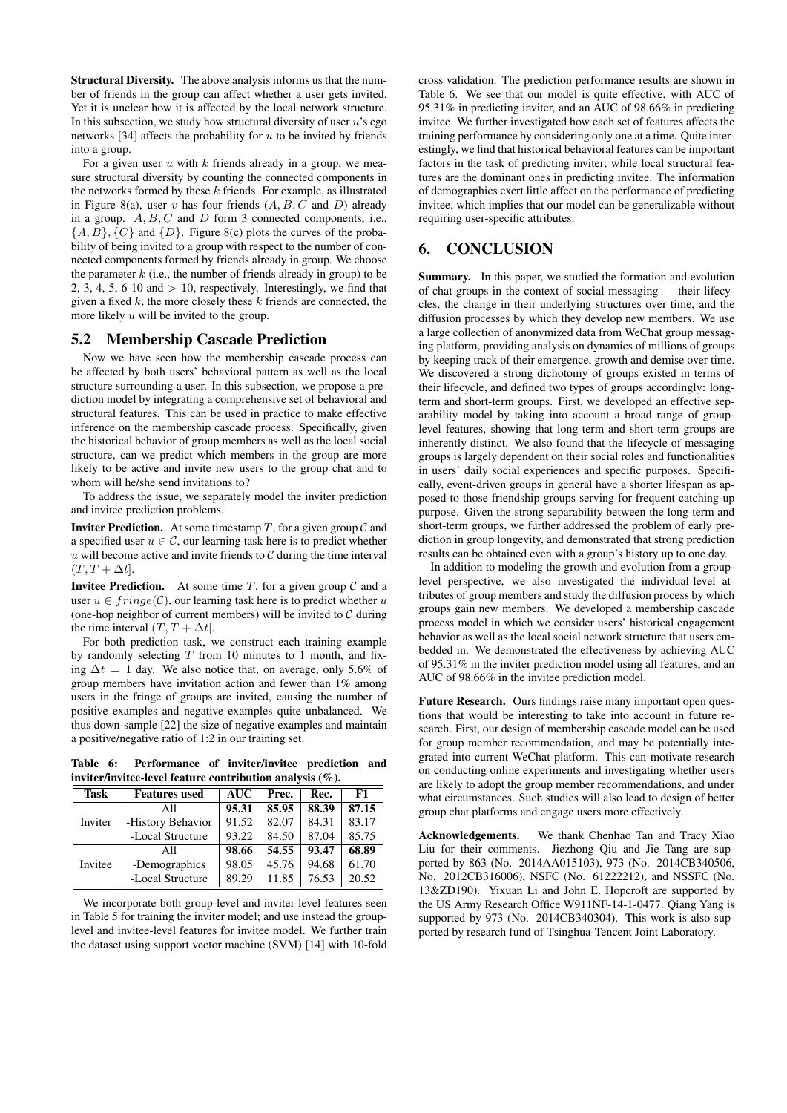Structural Diversity. The above analysis informs us that the number of friends in the group can affect whether a user gets invited. Yet it is unclear how it is affected by the local network structure. In this subsection, we study how structural diversity of user  $u$ 's ego networks [34] affects the probability for  $u$  to be invited by friends into a group.

For a given user  $u$  with  $k$  friends already in a group, we measure structural diversity by counting the connected components in the networks formed by these  $k$  friends. For example, as illustrated in Figure 8(a), user v has four friends  $(A, B, C \text{ and } D)$  already in a group.  $A, B, C$  and  $D$  form 3 connected components, i.e.,  $\{A, B\}, \{C\}$  and  $\{D\}$ . Figure 8(c) plots the curves of the probability of being invited to a group with respect to the number of connected components formed by friends already in group. We choose the parameter  $k$  (i.e., the number of friends already in group) to be 2, 3, 4, 5, 6-10 and  $> 10$ , respectively. Interestingly, we find that given a fixed  $k$ , the more closely these  $k$  friends are connected, the more likely  $u$  will be invited to the group.

#### 5.2 Membership Cascade Prediction

Now we have seen how the membership cascade process can be affected by both users' behavioral pattern as well as the local structure surrounding a user. In this subsection, we propose a prediction model by integrating a comprehensive set of behavioral and structural features. This can be used in practice to make effective inference on the membership cascade process. Specifically, given the historical behavior of group members as well as the local social structure, can we predict which members in the group are more likely to be active and invite new users to the group chat and to whom will he/she send invitations to?

To address the issue, we separately model the inviter prediction and invitee prediction problems.

**Inviter Prediction.** At some timestamp  $T$ , for a given group  $C$  and a specified user  $u \in \mathcal{C}$ , our learning task here is to predict whether  $u$  will become active and invite friends to  $C$  during the time interval  $(T, T + \Delta t]$ .

**Invitee Prediction.** At some time  $T$ , for a given group  $C$  and a user  $u \in fringe(\mathcal{C})$ , our learning task here is to predict whether u (one-hop neighbor of current members) will be invited to  $C$  during the time interval  $(T, T + \Delta t]$ .

For both prediction task, we construct each training example by randomly selecting  $T$  from 10 minutes to 1 month, and fixing  $\Delta t = 1$  day. We also notice that, on average, only 5.6% of group members have invitation action and fewer than 1% among users in the fringe of groups are invited, causing the number of positive examples and negative examples quite unbalanced. We thus down-sample [22] the size of negative examples and maintain a positive/negative ratio of 1:2 in our training set.

Table 6: Performance of inviter/invitee prediction and inviter/invitee-level feature contribution analysis (%).

| <b>Task</b> | <b>Features</b> used | <b>AUC</b> | Prec. | Rec.  | F1    |
|-------------|----------------------|------------|-------|-------|-------|
| Inviter     | All                  | 95.31      | 85.95 | 88.39 | 87.15 |
|             | -History Behavior    | 91.52      | 82.07 | 84.31 | 83.17 |
|             | -Local Structure     | 93.22      | 84.50 | 87.04 | 85.75 |
|             | All                  | 98.66      | 54.55 | 93.47 | 68.89 |
| Invitee     | -Demographics        | 98.05      | 45.76 | 94.68 | 61.70 |
|             | -Local Structure     | 89.29      | 11.85 | 76.53 | 20.52 |

We incorporate both group-level and inviter-level features seen in Table 5 for training the inviter model; and use instead the grouplevel and invitee-level features for invitee model. We further train the dataset using support vector machine (SVM) [14] with 10-fold

cross validation. The prediction performance results are shown in Table 6. We see that our model is quite effective, with AUC of 95.31% in predicting inviter, and an AUC of 98.66% in predicting invitee. We further investigated how each set of features affects the training performance by considering only one at a time. Quite interestingly, we find that historical behavioral features can be important factors in the task of predicting inviter; while local structural features are the dominant ones in predicting invitee. The information of demographics exert little affect on the performance of predicting invitee, which implies that our model can be generalizable without requiring user-specific attributes.

## 6. CONCLUSION

Summary. In this paper, we studied the formation and evolution of chat groups in the context of social messaging — their lifecycles, the change in their underlying structures over time, and the diffusion processes by which they develop new members. We use a large collection of anonymized data from WeChat group messaging platform, providing analysis on dynamics of millions of groups by keeping track of their emergence, growth and demise over time. We discovered a strong dichotomy of groups existed in terms of their lifecycle, and defined two types of groups accordingly: longterm and short-term groups. First, we developed an effective separability model by taking into account a broad range of grouplevel features, showing that long-term and short-term groups are inherently distinct. We also found that the lifecycle of messaging groups is largely dependent on their social roles and functionalities in users' daily social experiences and specific purposes. Specifically, event-driven groups in general have a shorter lifespan as apposed to those friendship groups serving for frequent catching-up purpose. Given the strong separability between the long-term and short-term groups, we further addressed the problem of early prediction in group longevity, and demonstrated that strong prediction results can be obtained even with a group's history up to one day.

In addition to modeling the growth and evolution from a grouplevel perspective, we also investigated the individual-level attributes of group members and study the diffusion process by which groups gain new members. We developed a membership cascade process model in which we consider users' historical engagement behavior as well as the local social network structure that users embedded in. We demonstrated the effectiveness by achieving AUC of 95.31% in the inviter prediction model using all features, and an AUC of 98.66% in the invitee prediction model.

Future Research. Ours findings raise many important open questions that would be interesting to take into account in future research. First, our design of membership cascade model can be used for group member recommendation, and may be potentially integrated into current WeChat platform. This can motivate research on conducting online experiments and investigating whether users are likely to adopt the group member recommendations, and under what circumstances. Such studies will also lead to design of better group chat platforms and engage users more effectively.

Acknowledgements. We thank Chenhao Tan and Tracy Xiao Liu for their comments. Jiezhong Qiu and Jie Tang are supported by 863 (No. 2014AA015103), 973 (No. 2014CB340506, No. 2012CB316006), NSFC (No. 61222212), and NSSFC (No. 13&ZD190). Yixuan Li and John E. Hopcroft are supported by the US Army Research Office W911NF-14-1-0477. Qiang Yang is supported by 973 (No. 2014CB340304). This work is also supported by research fund of Tsinghua-Tencent Joint Laboratory.